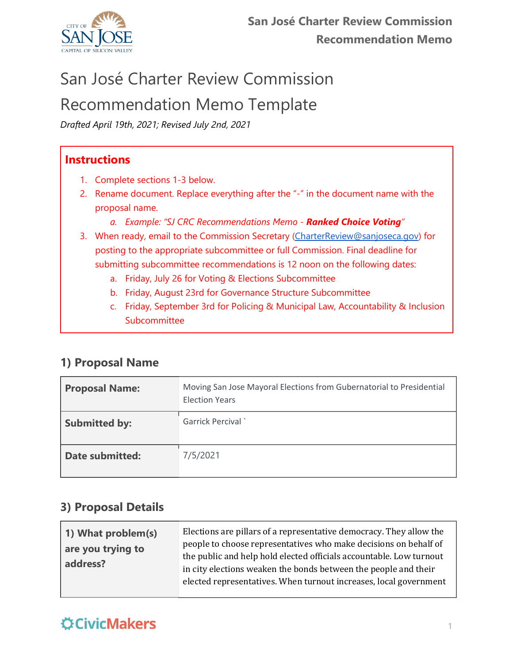

*Drafted April 19th, 2021; Revised July 2nd, 2021*

#### **Instructions**

- 1. Complete sections 1-3 below.
- 2. Rename document. Replace everything after the "-" in the document name with the proposal name.
	- *a. Example: "SJ CRC Recommendations Memo - Ranked Choice Voting"*
- 3. When ready, email to the Commission Secretary [\(CharterReview@sanjoseca.gov\)](mailto:CharterReview@sanjoseca.gov) for posting to the appropriate subcommittee or full Commission. Final deadline for submitting subcommittee recommendations is 12 noon on the following dates:
	- a. Friday, July 26 for Voting & Elections Subcommittee
	- b. Friday, August 23rd for Governance Structure Subcommittee
	- c. Friday, September 3rd for Policing & Municipal Law, Accountability & Inclusion Subcommittee

#### **1) Proposal Name**

| <b>Proposal Name:</b>  | Moving San Jose Mayoral Elections from Gubernatorial to Presidential<br><b>Election Years</b> |
|------------------------|-----------------------------------------------------------------------------------------------|
| <b>Submitted by:</b>   | <b>Garrick Percival</b>                                                                       |
| <b>Date submitted:</b> | 7/5/2021                                                                                      |

#### **3) Proposal Details**

| 1) What problem(s)<br>are you trying to<br>address? | Elections are pillars of a representative democracy. They allow the<br>people to choose representatives who make decisions on behalf of<br>the public and help hold elected officials accountable. Low turnout<br>in city elections weaken the bonds between the people and their<br>elected representatives. When turnout increases, local government |
|-----------------------------------------------------|--------------------------------------------------------------------------------------------------------------------------------------------------------------------------------------------------------------------------------------------------------------------------------------------------------------------------------------------------------|
|                                                     |                                                                                                                                                                                                                                                                                                                                                        |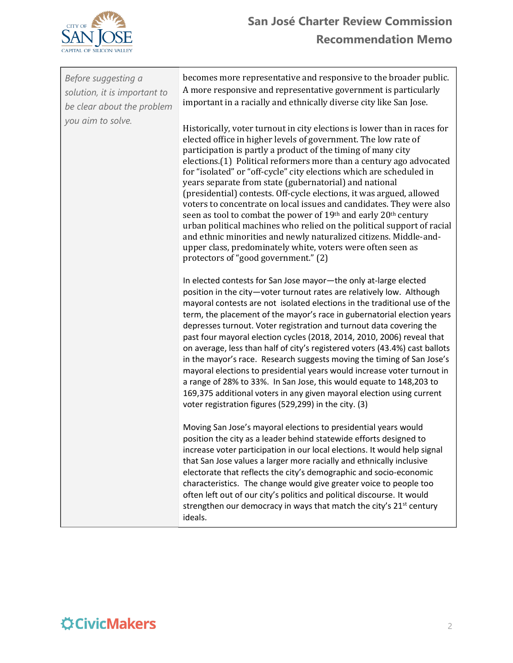

| Before suggesting a<br>solution, it is important to<br>be clear about the problem<br>you aim to solve. | becomes more representative and responsive to the broader public.<br>A more responsive and representative government is particularly<br>important in a racially and ethnically diverse city like San Jose.                                                                                                                                                                                                                                                                                                                                                                                                                                                                                                                                                                                                                                                                                      |
|--------------------------------------------------------------------------------------------------------|-------------------------------------------------------------------------------------------------------------------------------------------------------------------------------------------------------------------------------------------------------------------------------------------------------------------------------------------------------------------------------------------------------------------------------------------------------------------------------------------------------------------------------------------------------------------------------------------------------------------------------------------------------------------------------------------------------------------------------------------------------------------------------------------------------------------------------------------------------------------------------------------------|
|                                                                                                        | Historically, voter turnout in city elections is lower than in races for<br>elected office in higher levels of government. The low rate of<br>participation is partly a product of the timing of many city<br>elections.(1) Political reformers more than a century ago advocated<br>for "isolated" or "off-cycle" city elections which are scheduled in<br>years separate from state (gubernatorial) and national<br>(presidential) contests. Off-cycle elections, it was argued, allowed<br>voters to concentrate on local issues and candidates. They were also<br>seen as tool to combat the power of 19th and early 20th century<br>urban political machines who relied on the political support of racial<br>and ethnic minorities and newly naturalized citizens. Middle-and-<br>upper class, predominately white, voters were often seen as<br>protectors of "good government." (2)     |
|                                                                                                        | In elected contests for San Jose mayor-the only at-large elected<br>position in the city-voter turnout rates are relatively low. Although<br>mayoral contests are not isolated elections in the traditional use of the<br>term, the placement of the mayor's race in gubernatorial election years<br>depresses turnout. Voter registration and turnout data covering the<br>past four mayoral election cycles (2018, 2014, 2010, 2006) reveal that<br>on average, less than half of city's registered voters (43.4%) cast ballots<br>in the mayor's race. Research suggests moving the timing of San Jose's<br>mayoral elections to presidential years would increase voter turnout in<br>a range of 28% to 33%. In San Jose, this would equate to 148,203 to<br>169,375 additional voters in any given mayoral election using current<br>voter registration figures (529,299) in the city. (3) |
|                                                                                                        | Moving San Jose's mayoral elections to presidential years would<br>position the city as a leader behind statewide efforts designed to<br>increase voter participation in our local elections. It would help signal<br>that San Jose values a larger more racially and ethnically inclusive<br>electorate that reflects the city's demographic and socio-economic<br>characteristics. The change would give greater voice to people too<br>often left out of our city's politics and political discourse. It would<br>strengthen our democracy in ways that match the city's 21 <sup>st</sup> century<br>ideals.                                                                                                                                                                                                                                                                                 |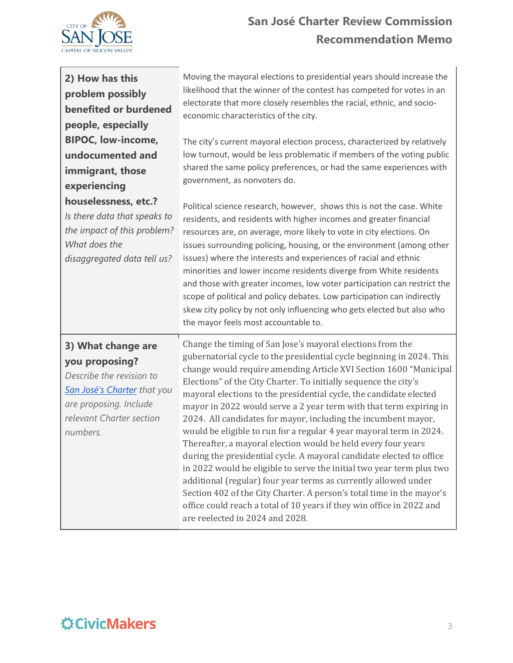

| 2) How has this                                                                                                                                                          | Moving the mayoral elections to presidential years should increase the                                                                                                                                                                                                                                                                                                                                                                                                                                                                                                                                                                                                                                                                                                                                                                                                                                                                                                                                                                      |
|--------------------------------------------------------------------------------------------------------------------------------------------------------------------------|---------------------------------------------------------------------------------------------------------------------------------------------------------------------------------------------------------------------------------------------------------------------------------------------------------------------------------------------------------------------------------------------------------------------------------------------------------------------------------------------------------------------------------------------------------------------------------------------------------------------------------------------------------------------------------------------------------------------------------------------------------------------------------------------------------------------------------------------------------------------------------------------------------------------------------------------------------------------------------------------------------------------------------------------|
| problem possibly                                                                                                                                                         | likelihood that the winner of the contest has competed for votes in an                                                                                                                                                                                                                                                                                                                                                                                                                                                                                                                                                                                                                                                                                                                                                                                                                                                                                                                                                                      |
| benefited or burdened                                                                                                                                                    | electorate that more closely resembles the racial, ethnic, and socio-                                                                                                                                                                                                                                                                                                                                                                                                                                                                                                                                                                                                                                                                                                                                                                                                                                                                                                                                                                       |
| people, especially                                                                                                                                                       | economic characteristics of the city.                                                                                                                                                                                                                                                                                                                                                                                                                                                                                                                                                                                                                                                                                                                                                                                                                                                                                                                                                                                                       |
| <b>BIPOC, low-income,</b>                                                                                                                                                | The city's current mayoral election process, characterized by relatively                                                                                                                                                                                                                                                                                                                                                                                                                                                                                                                                                                                                                                                                                                                                                                                                                                                                                                                                                                    |
| undocumented and                                                                                                                                                         | low turnout, would be less problematic if members of the voting public                                                                                                                                                                                                                                                                                                                                                                                                                                                                                                                                                                                                                                                                                                                                                                                                                                                                                                                                                                      |
| immigrant, those                                                                                                                                                         | shared the same policy preferences, or had the same experiences with                                                                                                                                                                                                                                                                                                                                                                                                                                                                                                                                                                                                                                                                                                                                                                                                                                                                                                                                                                        |
| experiencing                                                                                                                                                             | government, as nonvoters do.                                                                                                                                                                                                                                                                                                                                                                                                                                                                                                                                                                                                                                                                                                                                                                                                                                                                                                                                                                                                                |
| houselessness, etc.?<br>Is there data that speaks to<br>the impact of this problem?<br>What does the<br>disaggregated data tell us?                                      | Political science research, however, shows this is not the case. White<br>residents, and residents with higher incomes and greater financial<br>resources are, on average, more likely to vote in city elections. On<br>issues surrounding policing, housing, or the environment (among other<br>issues) where the interests and experiences of racial and ethnic<br>minorities and lower income residents diverge from White residents<br>and those with greater incomes, low voter participation can restrict the<br>scope of political and policy debates. Low participation can indirectly<br>skew city policy by not only influencing who gets elected but also who<br>the mayor feels most accountable to.                                                                                                                                                                                                                                                                                                                            |
| 3) What change are<br>you proposing?<br>Describe the revision to<br><b>San José's Charter</b> that you<br>are proposing. Include<br>relevant Charter section<br>numbers. | Change the timing of San Jose's mayoral elections from the<br>gubernatorial cycle to the presidential cycle beginning in 2024. This<br>change would require amending Article XVI Section 1600 "Municipal<br>Elections" of the City Charter. To initially sequence the city's<br>mayoral elections to the presidential cycle, the candidate elected<br>mayor in 2022 would serve a 2 year term with that term expiring in<br>2024. All candidates for mayor, including the incumbent mayor,<br>would be eligible to run for a regular 4 year mayoral term in 2024.<br>Thereafter, a mayoral election would be held every four years<br>during the presidential cycle. A mayoral candidate elected to office<br>in 2022 would be eligible to serve the initial two year term plus two<br>additional (regular) four year terms as currently allowed under<br>Section 402 of the City Charter. A person's total time in the mayor's<br>office could reach a total of 10 years if they win office in 2022 and<br>are reelected in 2024 and 2028. |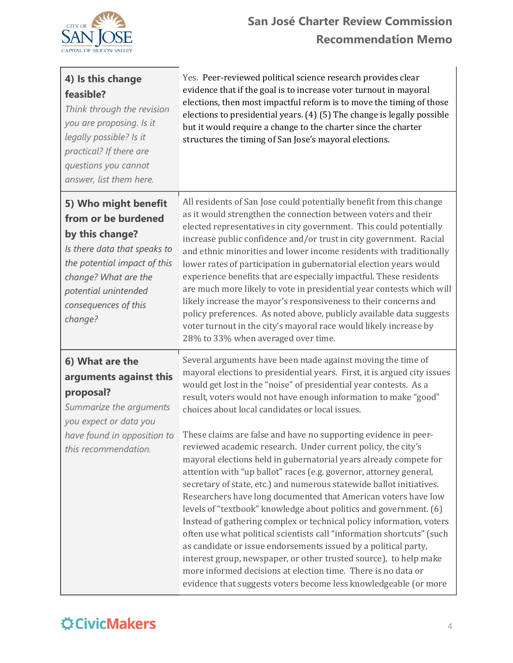

| 4) Is this change<br>feasible?<br>Think through the revision<br>you are proposing. Is it<br>legally possible? Is it<br>practical? If there are<br>questions you cannot<br>answer, list them here.                 | Yes. Peer-reviewed political science research provides clear<br>evidence that if the goal is to increase voter turnout in mayoral<br>elections, then most impactful reform is to move the timing of those<br>elections to presidential years. (4) (5) The change is legally possible<br>but it would require a change to the charter since the charter<br>structures the timing of San Jose's mayoral elections.                                                                                                                                                                                                                                                                                                                                                                                                                                                                                                                                                                                                                                                                                                                                                                                                                                               |
|-------------------------------------------------------------------------------------------------------------------------------------------------------------------------------------------------------------------|----------------------------------------------------------------------------------------------------------------------------------------------------------------------------------------------------------------------------------------------------------------------------------------------------------------------------------------------------------------------------------------------------------------------------------------------------------------------------------------------------------------------------------------------------------------------------------------------------------------------------------------------------------------------------------------------------------------------------------------------------------------------------------------------------------------------------------------------------------------------------------------------------------------------------------------------------------------------------------------------------------------------------------------------------------------------------------------------------------------------------------------------------------------------------------------------------------------------------------------------------------------|
| 5) Who might benefit<br>from or be burdened<br>by this change?<br>Is there data that speaks to<br>the potential impact of this<br>change? What are the<br>potential unintended<br>consequences of this<br>change? | All residents of San Jose could potentially benefit from this change<br>as it would strengthen the connection between voters and their<br>elected representatives in city government. This could potentially<br>increase public confidence and/or trust in city government. Racial<br>and ethnic minorities and lower income residents with traditionally<br>lower rates of participation in gubernatorial election years would<br>experience benefits that are especially impactful. These residents<br>are much more likely to vote in presidential year contests which will<br>likely increase the mayor's responsiveness to their concerns and<br>policy preferences. As noted above, publicly available data suggests<br>voter turnout in the city's mayoral race would likely increase by<br>28% to 33% when averaged over time.                                                                                                                                                                                                                                                                                                                                                                                                                         |
| 6) What are the<br>arguments against this<br>proposal?<br>Summarize the arguments<br>you expect or data you<br>have found in opposition to<br>this recommendation.                                                | Several arguments have been made against moving the time of<br>mayoral elections to presidential years. First, it is argued city issues<br>would get lost in the "noise" of presidential year contests. As a<br>result, voters would not have enough information to make "good"<br>choices about local candidates or local issues.<br>These claims are false and have no supporting evidence in peer-<br>reviewed academic research. Under current policy, the city's<br>mayoral elections held in gubernatorial years already compete for<br>attention with "up ballot" races (e.g. governor, attorney general,<br>secretary of state, etc.) and numerous statewide ballot initiatives.<br>Researchers have long documented that American voters have low<br>levels of "textbook" knowledge about politics and government. (6)<br>Instead of gathering complex or technical policy information, voters<br>often use what political scientists call "information shortcuts" (such<br>as candidate or issue endorsements issued by a political party,<br>interest group, newspaper, or other trusted source), to help make<br>more informed decisions at election time. There is no data or<br>evidence that suggests voters become less knowledgeable (or more |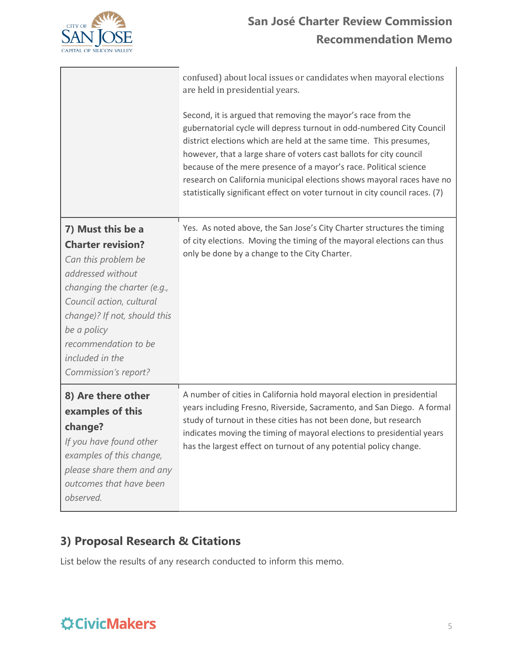

|                                                                                                                                                                                                                                                                        | confused) about local issues or candidates when mayoral elections<br>are held in presidential years.<br>Second, it is argued that removing the mayor's race from the<br>gubernatorial cycle will depress turnout in odd-numbered City Council<br>district elections which are held at the same time. This presumes,<br>however, that a large share of voters cast ballots for city council<br>because of the mere presence of a mayor's race. Political science<br>research on California municipal elections shows mayoral races have no<br>statistically significant effect on voter turnout in city council races. (7) |
|------------------------------------------------------------------------------------------------------------------------------------------------------------------------------------------------------------------------------------------------------------------------|---------------------------------------------------------------------------------------------------------------------------------------------------------------------------------------------------------------------------------------------------------------------------------------------------------------------------------------------------------------------------------------------------------------------------------------------------------------------------------------------------------------------------------------------------------------------------------------------------------------------------|
| 7) Must this be a<br><b>Charter revision?</b><br>Can this problem be<br>addressed without<br>changing the charter (e.g.,<br>Council action, cultural<br>change)? If not, should this<br>be a policy<br>recommendation to be<br>included in the<br>Commission's report? | Yes. As noted above, the San Jose's City Charter structures the timing<br>of city elections. Moving the timing of the mayoral elections can thus<br>only be done by a change to the City Charter.                                                                                                                                                                                                                                                                                                                                                                                                                         |
| 8) Are there other<br>examples of this<br>change?<br>If you have found other<br>examples of this change,<br>please share them and any<br>outcomes that have been<br>observed.                                                                                          | A number of cities in California hold mayoral election in presidential<br>years including Fresno, Riverside, Sacramento, and San Diego. A formal<br>study of turnout in these cities has not been done, but research<br>indicates moving the timing of mayoral elections to presidential years<br>has the largest effect on turnout of any potential policy change.                                                                                                                                                                                                                                                       |

### **3) Proposal Research & Citations**

List below the results of any research conducted to inform this memo.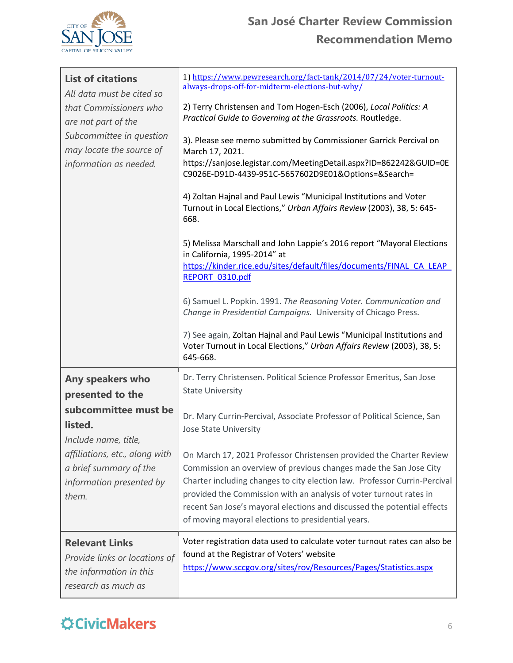

| <b>List of citations</b><br>All data must be cited so<br>that Commissioners who<br>are not part of the<br>Subcommittee in question<br>may locate the source of<br>information as needed.         | 1) https://www.pewresearch.org/fact-tank/2014/07/24/voter-turnout-<br>always-drops-off-for-midterm-elections-but-why/<br>2) Terry Christensen and Tom Hogen-Esch (2006), Local Politics: A<br>Practical Guide to Governing at the Grassroots. Routledge.<br>3). Please see memo submitted by Commissioner Garrick Percival on<br>March 17, 2021.<br>https://sanjose.legistar.com/MeetingDetail.aspx?ID=862242&GUID=0E<br>C9026E-D91D-4439-951C-5657602D9E01&Options=&Search=<br>4) Zoltan Hajnal and Paul Lewis "Municipal Institutions and Voter<br>Turnout in Local Elections," Urban Affairs Review (2003), 38, 5: 645-<br>668.<br>5) Melissa Marschall and John Lappie's 2016 report "Mayoral Elections<br>in California, 1995-2014" at<br>https://kinder.rice.edu/sites/default/files/documents/FINAL CA LEAP<br>REPORT 0310.pdf<br>6) Samuel L. Popkin. 1991. The Reasoning Voter. Communication and<br>Change in Presidential Campaigns. University of Chicago Press.<br>7) See again, Zoltan Hajnal and Paul Lewis "Municipal Institutions and<br>Voter Turnout in Local Elections," Urban Affairs Review (2003), 38, 5:<br>645-668. |
|--------------------------------------------------------------------------------------------------------------------------------------------------------------------------------------------------|----------------------------------------------------------------------------------------------------------------------------------------------------------------------------------------------------------------------------------------------------------------------------------------------------------------------------------------------------------------------------------------------------------------------------------------------------------------------------------------------------------------------------------------------------------------------------------------------------------------------------------------------------------------------------------------------------------------------------------------------------------------------------------------------------------------------------------------------------------------------------------------------------------------------------------------------------------------------------------------------------------------------------------------------------------------------------------------------------------------------------------------------|
| Any speakers who<br>presented to the<br>subcommittee must be<br>listed.<br>Include name, title,<br>affiliations, etc., along with<br>a brief summary of the<br>information presented by<br>them. | Dr. Terry Christensen. Political Science Professor Emeritus, San Jose<br><b>State University</b><br>Dr. Mary Currin-Percival, Associate Professor of Political Science, San<br>Jose State University<br>On March 17, 2021 Professor Christensen provided the Charter Review<br>Commission an overview of previous changes made the San Jose City<br>Charter including changes to city election law. Professor Currin-Percival<br>provided the Commission with an analysis of voter turnout rates in<br>recent San Jose's mayoral elections and discussed the potential effects<br>of moving mayoral elections to presidential years.                                                                                                                                                                                                                                                                                                                                                                                                                                                                                                         |
| <b>Relevant Links</b><br>Provide links or locations of<br>the information in this<br>research as much as                                                                                         | Voter registration data used to calculate voter turnout rates can also be<br>found at the Registrar of Voters' website<br>https://www.sccgov.org/sites/rov/Resources/Pages/Statistics.aspx                                                                                                                                                                                                                                                                                                                                                                                                                                                                                                                                                                                                                                                                                                                                                                                                                                                                                                                                                   |